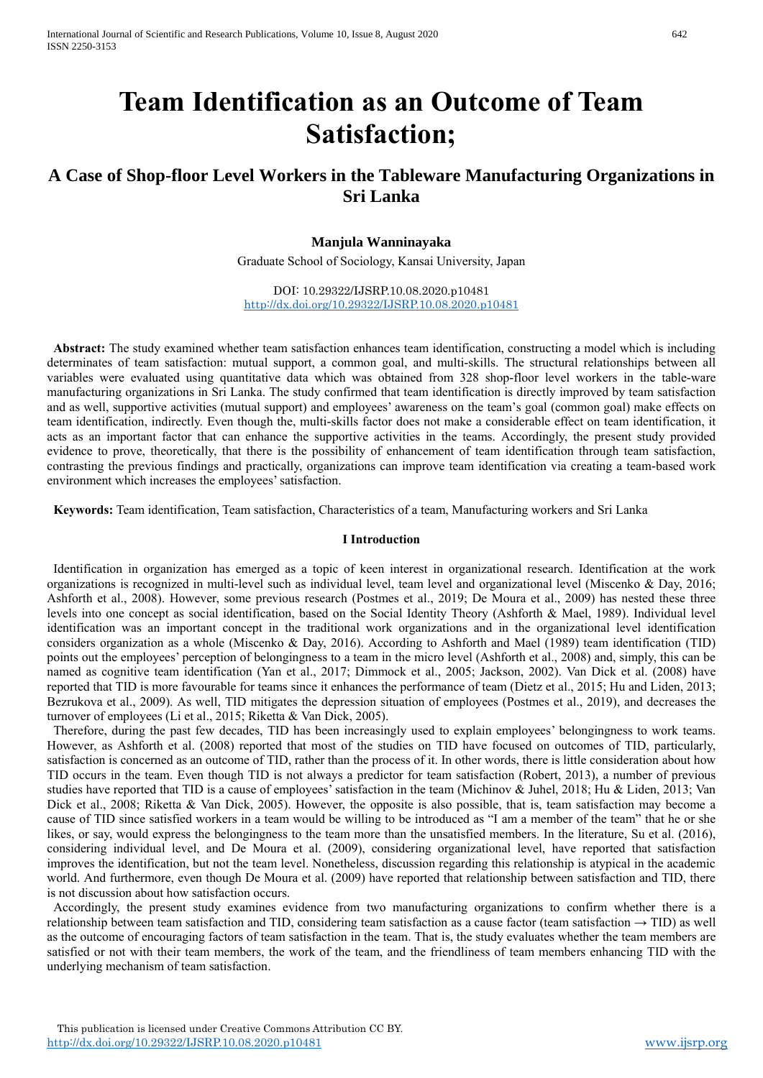# **Team Identification as an Outcome of Team Satisfaction;**

# **A Case of Shop-floor Level Workers in the Tableware Manufacturing Organizations in Sri Lanka**

# **Manjula Wanninayaka**

Graduate School of Sociology, Kansai University, Japan

DOI: 10.29322/IJSRP.10.08.2020.p10481 <http://dx.doi.org/10.29322/IJSRP.10.08.2020.p10481>

**Abstract:** The study examined whether team satisfaction enhances team identification, constructing a model which is including determinates of team satisfaction: mutual support, a common goal, and multi-skills. The structural relationships between all variables were evaluated using quantitative data which was obtained from 328 shop-floor level workers in the table-ware manufacturing organizations in Sri Lanka. The study confirmed that team identification is directly improved by team satisfaction and as well, supportive activities (mutual support) and employees' awareness on the team's goal (common goal) make effects on team identification, indirectly. Even though the, multi-skills factor does not make a considerable effect on team identification, it acts as an important factor that can enhance the supportive activities in the teams. Accordingly, the present study provided evidence to prove, theoretically, that there is the possibility of enhancement of team identification through team satisfaction, contrasting the previous findings and practically, organizations can improve team identification via creating a team-based work environment which increases the employees' satisfaction.

**Keywords:** Team identification, Team satisfaction, Characteristics of a team, Manufacturing workers and Sri Lanka

### **Ⅰ Introduction**

Identification in organization has emerged as a topic of keen interest in organizational research. Identification at the work organizations is recognized in multi-level such as individual level, team level and organizational level (Miscenko & Day, 2016; Ashforth et al., 2008). However, some previous research (Postmes et al., 2019; De Moura et al., 2009) has nested these three levels into one concept as social identification, based on the Social Identity Theory (Ashforth & Mael, 1989). Individual level identification was an important concept in the traditional work organizations and in the organizational level identification considers organization as a whole (Miscenko & Day, 2016). According to Ashforth and Mael (1989) team identification (TID) points out the employees' perception of belongingness to a team in the micro level (Ashforth et al., 2008) and, simply, this can be named as cognitive team identification (Yan et al., 2017; Dimmock et al., 2005; Jackson, 2002). Van Dick et al. (2008) have reported that TID is more favourable for teams since it enhances the performance of team (Dietz et al., 2015; Hu and Liden, 2013; Bezrukova et al., 2009). As well, TID mitigates the depression situation of employees (Postmes et al., 2019), and decreases the turnover of employees (Li et al., 2015; Riketta & Van Dick, 2005).

Therefore, during the past few decades, TID has been increasingly used to explain employees' belongingness to work teams. However, as Ashforth et al. (2008) reported that most of the studies on TID have focused on outcomes of TID, particularly, satisfaction is concerned as an outcome of TID, rather than the process of it. In other words, there is little consideration about how TID occurs in the team. Even though TID is not always a predictor for team satisfaction (Robert, 2013), a number of previous studies have reported that TID is a cause of employees' satisfaction in the team (Michinov & Juhel, 2018; Hu & Liden, 2013; Van Dick et al., 2008; Riketta & Van Dick, 2005). However, the opposite is also possible, that is, team satisfaction may become a cause of TID since satisfied workers in a team would be willing to be introduced as "I am a member of the team" that he or she likes, or say, would express the belongingness to the team more than the unsatisfied members. In the literature, Su et al. (2016), considering individual level, and De Moura et al. (2009), considering organizational level, have reported that satisfaction improves the identification, but not the team level. Nonetheless, discussion regarding this relationship is atypical in the academic world. And furthermore, even though De Moura et al. (2009) have reported that relationship between satisfaction and TID, there is not discussion about how satisfaction occurs.

Accordingly, the present study examines evidence from two manufacturing organizations to confirm whether there is a relationship between team satisfaction and TID, considering team satisfaction as a cause factor (team satisfaction  $\rightarrow$  TID) as well as the outcome of encouraging factors of team satisfaction in the team. That is, the study evaluates whether the team members are satisfied or not with their team members, the work of the team, and the friendliness of team members enhancing TID with the underlying mechanism of team satisfaction.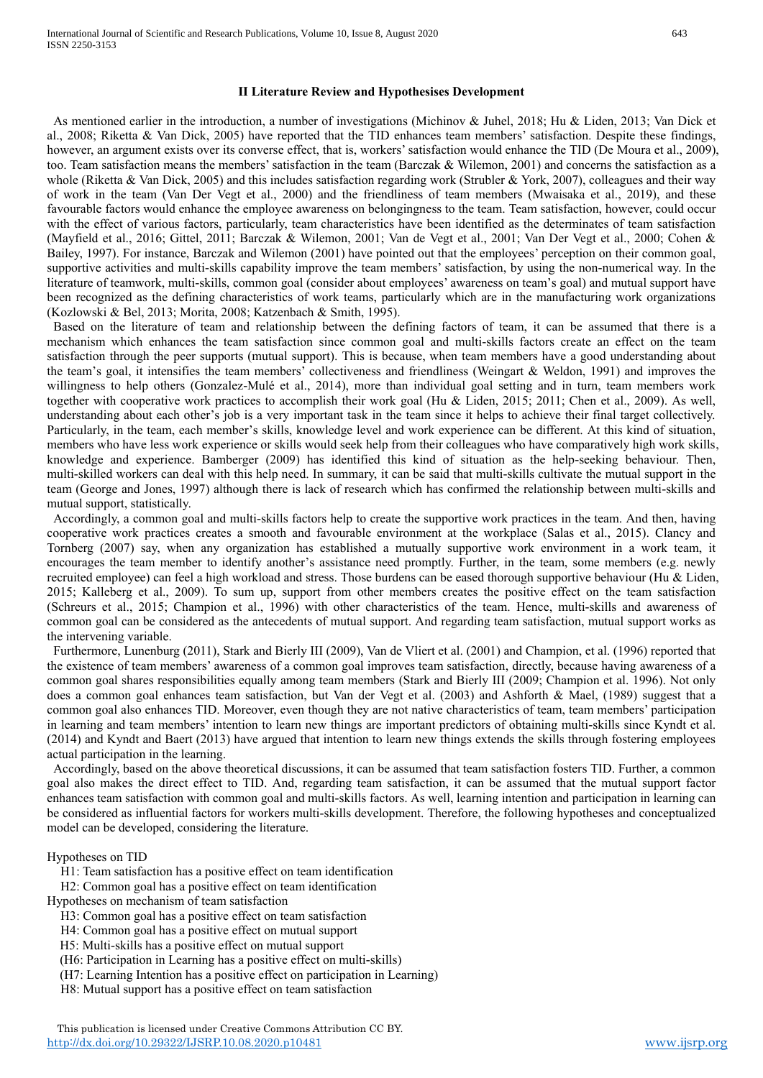#### **Ⅱ Literature Review and Hypothesises Development**

As mentioned earlier in the introduction, a number of investigations (Michinov & Juhel, 2018; Hu & Liden, 2013; Van Dick et al., 2008; Riketta & Van Dick, 2005) have reported that the TID enhances team members' satisfaction. Despite these findings, however, an argument exists over its converse effect, that is, workers' satisfaction would enhance the TID (De Moura et al., 2009), too. Team satisfaction means the members' satisfaction in the team (Barczak & Wilemon, 2001) and concerns the satisfaction as a whole (Riketta & Van Dick, 2005) and this includes satisfaction regarding work (Strubler & York, 2007), colleagues and their way of work in the team (Van Der Vegt et al., 2000) and the friendliness of team members (Mwaisaka et al., 2019), and these favourable factors would enhance the employee awareness on belongingness to the team. Team satisfaction, however, could occur with the effect of various factors, particularly, team characteristics have been identified as the determinates of team satisfaction (Mayfield et al., 2016; Gittel, 2011; Barczak & Wilemon, 2001; Van de Vegt et al., 2001; Van Der Vegt et al., 2000; Cohen & Bailey, 1997). For instance, Barczak and Wilemon (2001) have pointed out that the employees' perception on their common goal, supportive activities and multi-skills capability improve the team members' satisfaction, by using the non-numerical way. In the literature of teamwork, multi-skills, common goal (consider about employees' awareness on team's goal) and mutual support have been recognized as the defining characteristics of work teams, particularly which are in the manufacturing work organizations (Kozlowski & Bel, 2013; Morita, 2008; Katzenbach & Smith, 1995).

Based on the literature of team and relationship between the defining factors of team, it can be assumed that there is a mechanism which enhances the team satisfaction since common goal and multi-skills factors create an effect on the team satisfaction through the peer supports (mutual support). This is because, when team members have a good understanding about the team's goal, it intensifies the team members' collectiveness and friendliness (Weingart & Weldon, 1991) and improves the willingness to help others (Gonzalez-Mulé et al., 2014), more than individual goal setting and in turn, team members work together with cooperative work practices to accomplish their work goal (Hu & Liden, 2015; 2011; Chen et al., 2009). As well, understanding about each other's job is a very important task in the team since it helps to achieve their final target collectively. Particularly, in the team, each member's skills, knowledge level and work experience can be different. At this kind of situation, members who have less work experience or skills would seek help from their colleagues who have comparatively high work skills, knowledge and experience. Bamberger (2009) has identified this kind of situation as the help-seeking behaviour. Then, multi-skilled workers can deal with this help need. In summary, it can be said that multi-skills cultivate the mutual support in the team (George and Jones, 1997) although there is lack of research which has confirmed the relationship between multi-skills and mutual support, statistically.

Accordingly, a common goal and multi-skills factors help to create the supportive work practices in the team. And then, having cooperative work practices creates a smooth and favourable environment at the workplace (Salas et al., 2015). Clancy and Tornberg (2007) say, when any organization has established a mutually supportive work environment in a work team, it encourages the team member to identify another's assistance need promptly. Further, in the team, some members (e.g. newly recruited employee) can feel a high workload and stress. Those burdens can be eased thorough supportive behaviour (Hu & Liden, 2015; Kalleberg et al., 2009). To sum up, support from other members creates the positive effect on the team satisfaction (Schreurs et al., 2015; Champion et al., 1996) with other characteristics of the team. Hence, multi-skills and awareness of common goal can be considered as the antecedents of mutual support. And regarding team satisfaction, mutual support works as the intervening variable.

Furthermore, Lunenburg (2011), Stark and Bierly III (2009), Van de Vliert et al. (2001) and Champion, et al. (1996) reported that the existence of team members' awareness of a common goal improves team satisfaction, directly, because having awareness of a common goal shares responsibilities equally among team members (Stark and Bierly III (2009; Champion et al. 1996). Not only does a common goal enhances team satisfaction, but Van der Vegt et al. (2003) and Ashforth & Mael, (1989) suggest that a common goal also enhances TID. Moreover, even though they are not native characteristics of team, team members' participation in learning and team members' intention to learn new things are important predictors of obtaining multi-skills since Kyndt et al. (2014) and Kyndt and Baert (2013) have argued that intention to learn new things extends the skills through fostering employees actual participation in the learning.

Accordingly, based on the above theoretical discussions, it can be assumed that team satisfaction fosters TID. Further, a common goal also makes the direct effect to TID. And, regarding team satisfaction, it can be assumed that the mutual support factor enhances team satisfaction with common goal and multi-skills factors. As well, learning intention and participation in learning can be considered as influential factors for workers multi-skills development. Therefore, the following hypotheses and conceptualized model can be developed, considering the literature.

#### Hypotheses on TID

H1: Team satisfaction has a positive effect on team identification

H2: Common goal has a positive effect on team identification

Hypotheses on mechanism of team satisfaction

H3: Common goal has a positive effect on team satisfaction

H4: Common goal has a positive effect on mutual support

H5: Multi-skills has a positive effect on mutual support

(H6: Participation in Learning has a positive effect on multi-skills)

(H7: Learning Intention has a positive effect on participation in Learning)

H8: Mutual support has a positive effect on team satisfaction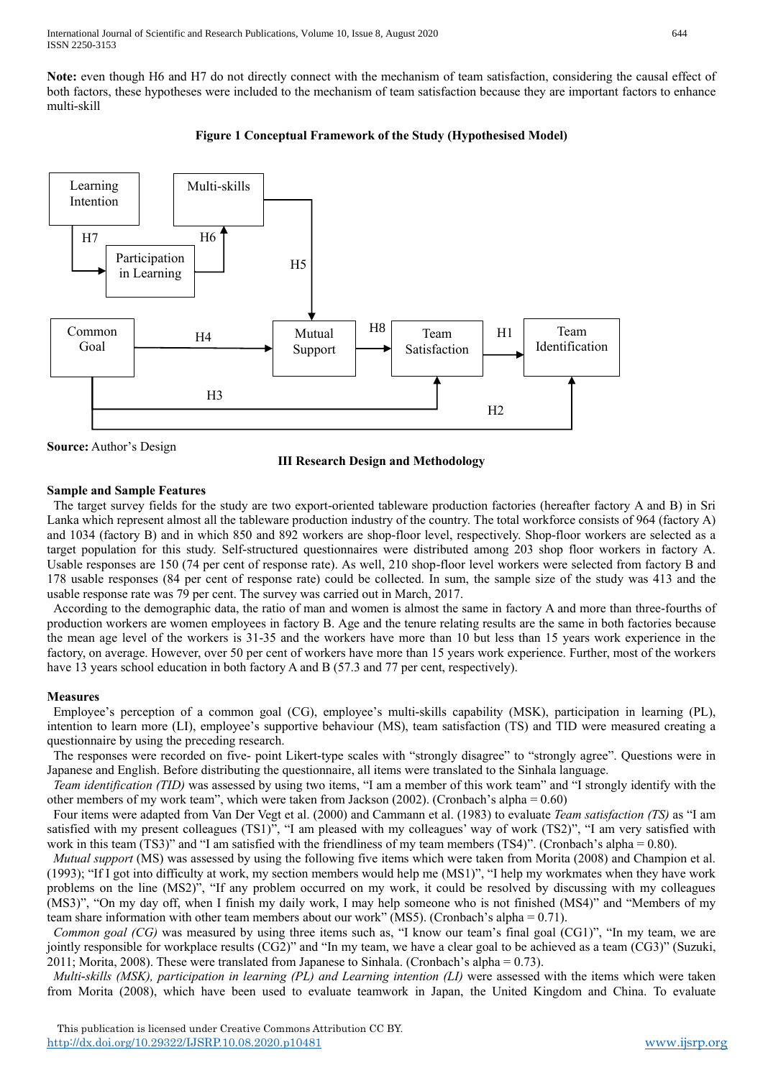International Journal of Scientific and Research Publications, Volume 10, Issue 8, August 2020 644 ISSN 2250-3153

H4

H<sub>3</sub>

**Note:** even though H6 and H7 do not directly connect with the mechanism of team satisfaction, considering the causal effect of both factors, these hypotheses were included to the mechanism of team satisfaction because they are important factors to enhance multi-skill



Mutual Support



Common Goal

#### **Ⅲ Research Design and Methodology**

H8

Team Satisfaction H1

 $H<sub>2</sub>$ 

Team Identification

#### **Sample and Sample Features**

The target survey fields for the study are two export-oriented tableware production factories (hereafter factory A and B) in Sri Lanka which represent almost all the tableware production industry of the country. The total workforce consists of 964 (factory A) and 1034 (factory B) and in which 850 and 892 workers are shop-floor level, respectively. Shop-floor workers are selected as a target population for this study. Self-structured questionnaires were distributed among 203 shop floor workers in factory A. Usable responses are 150 (74 per cent of response rate). As well, 210 shop-floor level workers were selected from factory B and 178 usable responses (84 per cent of response rate) could be collected. In sum, the sample size of the study was 413 and the usable response rate was 79 per cent. The survey was carried out in March, 2017.

According to the demographic data, the ratio of man and women is almost the same in factory A and more than three-fourths of production workers are women employees in factory B. Age and the tenure relating results are the same in both factories because the mean age level of the workers is 31-35 and the workers have more than 10 but less than 15 years work experience in the factory, on average. However, over 50 per cent of workers have more than 15 years work experience. Further, most of the workers have 13 years school education in both factory A and B (57.3 and 77 per cent, respectively).

#### **Measures**

Employee's perception of a common goal (CG), employee's multi-skills capability (MSK), participation in learning (PL), intention to learn more (LI), employee's supportive behaviour (MS), team satisfaction (TS) and TID were measured creating a questionnaire by using the preceding research.

The responses were recorded on five- point Likert-type scales with "strongly disagree" to "strongly agree". Questions were in Japanese and English. Before distributing the questionnaire, all items were translated to the Sinhala language.

*Team identification (TID)* was assessed by using two items, "I am a member of this work team" and "I strongly identify with the other members of my work team", which were taken from Jackson (2002). (Cronbach's alpha =  $0.60$ )

Four items were adapted from Van Der Vegt et al. (2000) and Cammann et al. (1983) to evaluate *Team satisfaction (TS)* as "I am satisfied with my present colleagues (TS1)", "I am pleased with my colleagues' way of work (TS2)", "I am very satisfied with work in this team (TS3)" and "I am satisfied with the friendliness of my team members (TS4)". (Cronbach's alpha = 0.80).

*Mutual support* (MS) was assessed by using the following five items which were taken from Morita (2008) and Champion et al. (1993); "If I got into difficulty at work, my section members would help me (MS1)", "I help my workmates when they have work problems on the line (MS2)", "If any problem occurred on my work, it could be resolved by discussing with my colleagues (MS3)", "On my day off, when I finish my daily work, I may help someone who is not finished (MS4)" and "Members of my team share information with other team members about our work" (MS5). (Cronbach's alpha = 0.71).

*Common goal (CG)* was measured by using three items such as, "I know our team's final goal (CG1)", "In my team, we are jointly responsible for workplace results (CG2)" and "In my team, we have a clear goal to be achieved as a team (CG3)" (Suzuki, 2011; Morita, 2008). These were translated from Japanese to Sinhala. (Cronbach's alpha = 0.73).

*Multi-skills (MSK), participation in learning (PL) and Learning intention (LI)* were assessed with the items which were taken from Morita (2008), which have been used to evaluate teamwork in Japan, the United Kingdom and China. To evaluate

**Source:** Author's Design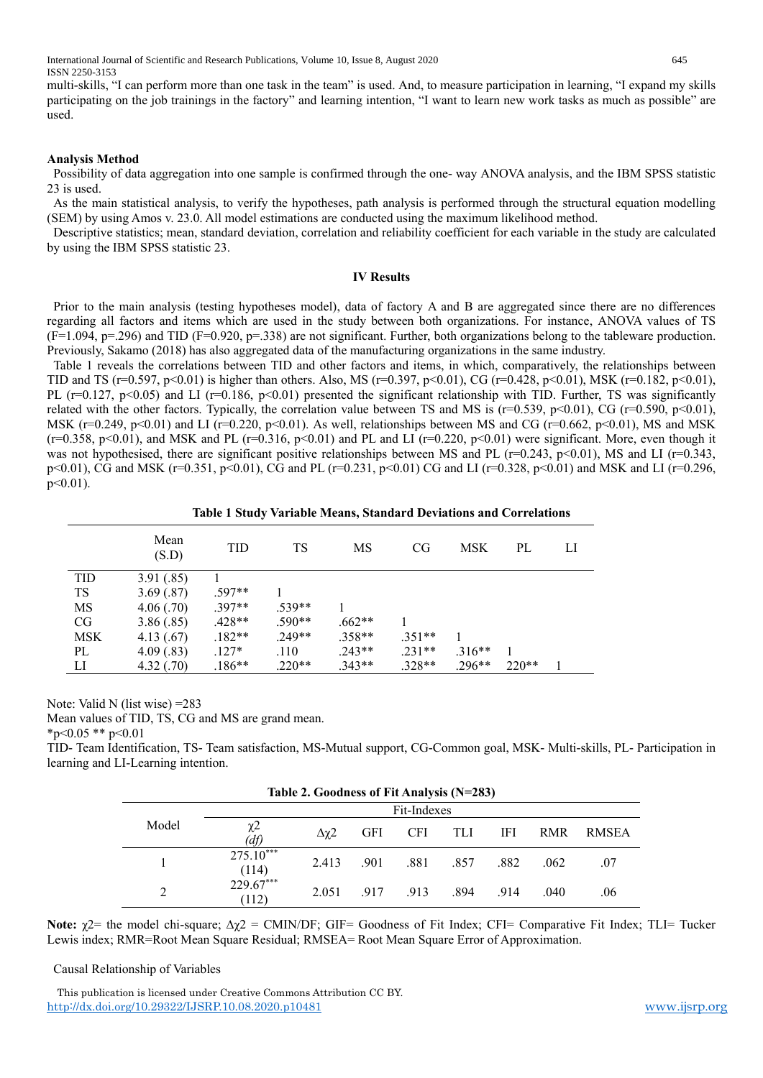International Journal of Scientific and Research Publications, Volume 10, Issue 8, August 2020 645 ISSN 2250-3153

multi-skills, "I can perform more than one task in the team" is used. And, to measure participation in learning, "I expand my skills participating on the job trainings in the factory" and learning intention, "I want to learn new work tasks as much as possible" are used.

#### **Analysis Method**

Possibility of data aggregation into one sample is confirmed through the one- way ANOVA analysis, and the IBM SPSS statistic 23 is used.

As the main statistical analysis, to verify the hypotheses, path analysis is performed through the structural equation modelling (SEM) by using Amos v. 23.0. All model estimations are conducted using the maximum likelihood method.

Descriptive statistics; mean, standard deviation, correlation and reliability coefficient for each variable in the study are calculated by using the IBM SPSS statistic 23.

#### **Ⅳ Results**

Prior to the main analysis (testing hypotheses model), data of factory A and B are aggregated since there are no differences regarding all factors and items which are used in the study between both organizations. For instance, ANOVA values of TS (F=1.094, p=.296) and TID (F=0.920, p=.338) are not significant. Further, both organizations belong to the tableware production. Previously, Sakamo (2018) has also aggregated data of the manufacturing organizations in the same industry.

Table 1 reveals the correlations between TID and other factors and items, in which, comparatively, the relationships between TID and TS (r=0.597, p<0.01) is higher than others. Also, MS (r=0.397, p<0.01), CG (r=0.428, p<0.01), MSK (r=0.182, p<0.01), PL ( $r=0.127$ ,  $p<0.05$ ) and LI ( $r=0.186$ ,  $p<0.01$ ) presented the significant relationship with TID. Further, TS was significantly related with the other factors. Typically, the correlation value between TS and MS is ( $r=0.539$ ,  $p<0.01$ ), CG ( $r=0.590$ ,  $p<0.01$ ), MSK ( $r=0.249$ ,  $p<0.01$ ) and LI ( $r=0.220$ ,  $p<0.01$ ). As well, relationships between MS and CG ( $r=0.662$ ,  $p<0.01$ ), MS and MSK  $(r=0.358, p<0.01)$ , and MSK and PL  $(r=0.316, p<0.01)$  and PL and LI  $(r=0.220, p<0.01)$  were significant. More, even though it was not hypothesised, there are significant positive relationships between MS and PL (r=0.243, p<0.01), MS and LI (r=0.343, p<0.01), CG and MSK (r=0.351, p<0.01), CG and PL (r=0.231, p<0.01) CG and LI (r=0.328, p<0.01) and MSK and LI (r=0.296, p<0.01).

**Table 1 Study Variable Means, Standard Deviations and Correlations**

|            | Mean<br>(S.D) | TID      | TS       | MS       | CG       | <b>MSK</b> | PL      | LI |
|------------|---------------|----------|----------|----------|----------|------------|---------|----|
| <b>TID</b> | 3.91(.85)     |          |          |          |          |            |         |    |
| TS         | 3.69(.87)     | $.597**$ |          |          |          |            |         |    |
| MS         | 4.06(.70)     | $.397**$ | $.539**$ |          |          |            |         |    |
| CG         | 3.86(.85)     | $.428**$ | $.590**$ | $.662**$ |          |            |         |    |
| <b>MSK</b> | 4.13(0.67)    | $.182**$ | $.249**$ | $.358**$ | $.351**$ |            |         |    |
| PL         | 4.09(.83)     | $.127*$  | .110     | $.243**$ | $.231**$ | $.316**$   |         |    |
| LI         | 4.32(.70)     | $.186**$ | $.220**$ | $.343**$ | $.328**$ | $.296**$   | $220**$ |    |

Note: Valid N (list wise) =283

Mean values of TID, TS, CG and MS are grand mean. \*p<0.05 \*\* p<0.01

TID- Team Identification, TS- Team satisfaction, MS-Mutual support, CG-Common goal, MSK- Multi-skills, PL- Participation in learning and LI-Learning intention.

| Table 2. Goodness of Fit Analysis (N=283) |                      |       |            |            |      |      |            |       |  |
|-------------------------------------------|----------------------|-------|------------|------------|------|------|------------|-------|--|
| Fit-Indexes                               |                      |       |            |            |      |      |            |       |  |
| Model                                     | χ2<br>(df)           | Δχ2   | <b>GFI</b> | <b>CFI</b> | TLI  | IFI  | <b>RMR</b> | RMSEA |  |
|                                           | $275.10***$<br>(114) | 2.413 | .901       | .881       | .857 | .882 | .062       | .07   |  |
| 2                                         | 229.67***<br>(112)   | 2.051 | .917       | .913       | .894 | .914 | .040       | .06   |  |

Note:  $χ$ 2= the model chi-square;  $Δχ$ 2 = CMIN/DF; GIF= Goodness of Fit Index; CFI= Comparative Fit Index; TLI= Tucker Lewis index; RMR=Root Mean Square Residual; RMSEA= Root Mean Square Error of Approximation.

Causal Relationship of Variables

 This publication is licensed under Creative Commons Attribution CC BY. <http://dx.doi.org/10.29322/IJSRP.10.08.2020.p10481> [www.ijsrp.org](http://ijsrp.org/)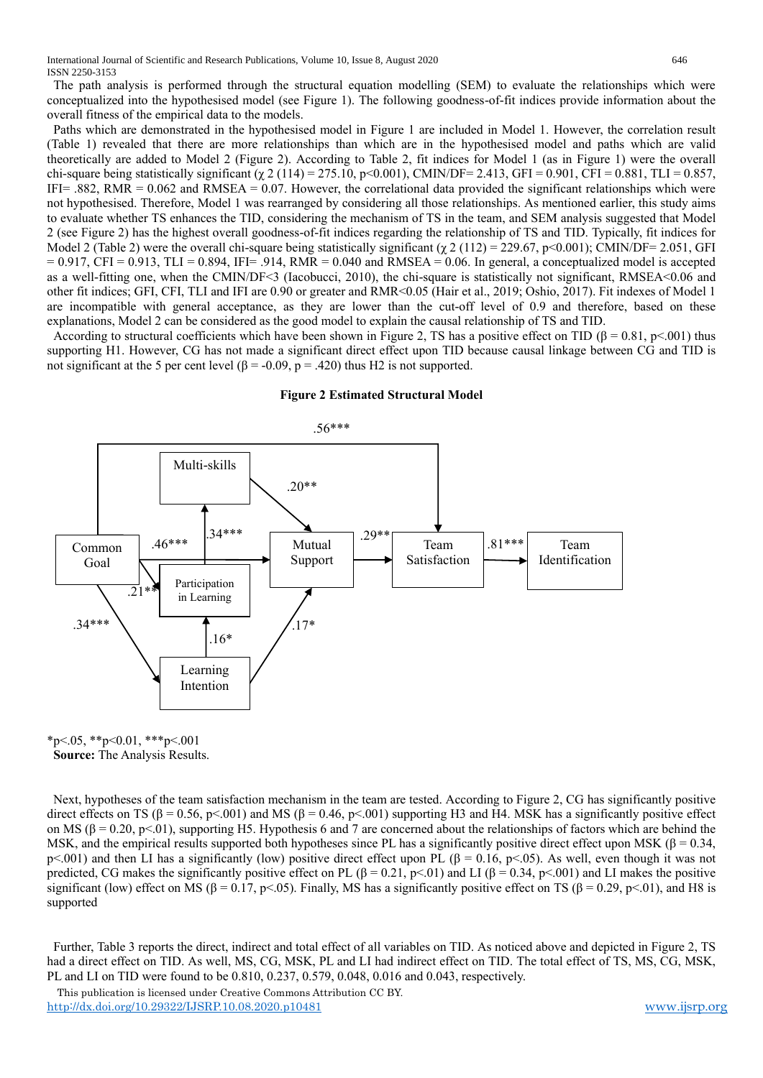The path analysis is performed through the structural equation modelling (SEM) to evaluate the relationships which were conceptualized into the hypothesised model (see Figure 1). The following goodness-of-fit indices provide information about the overall fitness of the empirical data to the models.

Paths which are demonstrated in the hypothesised model in Figure 1 are included in Model 1. However, the correlation result (Table 1) revealed that there are more relationships than which are in the hypothesised model and paths which are valid theoretically are added to Model 2 (Figure 2). According to Table 2, fit indices for Model 1 (as in Figure 1) were the overall chi-square being statistically significant (χ 2 (114) = 275.10, p<0.001), CMIN/DF= 2.413, GFI = 0.901, CFI = 0.881, TLI = 0.857, IFI= .882, RMR =  $0.062$  and RMSEA =  $0.07$ . However, the correlational data provided the significant relationships which were not hypothesised. Therefore, Model 1 was rearranged by considering all those relationships. As mentioned earlier, this study aims to evaluate whether TS enhances the TID, considering the mechanism of TS in the team, and SEM analysis suggested that Model 2 (see Figure 2) has the highest overall goodness-of-fit indices regarding the relationship of TS and TID. Typically, fit indices for Model 2 (Table 2) were the overall chi-square being statistically significant ( $\chi$  2 (112) = 229.67, p<0.001); CMIN/DF= 2.051, GFI  $= 0.917$ , CFI = 0.913, TLI = 0.894, IFI= .914, RMR = 0.040 and RMSEA = 0.06. In general, a conceptualized model is accepted as a well-fitting one, when the CMIN/DF<3 (Iacobucci, 2010), the chi-square is statistically not significant, RMSEA<0.06 and other fit indices; GFI, CFI, TLI and IFI are 0.90 or greater and RMR<0.05 (Hair et al., 2019; Oshio, 2017). Fit indexes of Model 1 are incompatible with general acceptance, as they are lower than the cut-off level of 0.9 and therefore, based on these explanations, Model 2 can be considered as the good model to explain the causal relationship of TS and TID.

According to structural coefficients which have been shown in Figure 2, TS has a positive effect on TID ( $\beta = 0.81$ , p<.001) thus supporting H1. However, CG has not made a significant direct effect upon TID because causal linkage between CG and TID is not significant at the 5 per cent level (β = -0.09, p = .420) thus H2 is not supported.



#### **Figure 2 Estimated Structural Model**

 $*p<.05$ ,  $*p<.01$ ,  $**p<.001$ **Source:** The Analysis Results.

Next, hypotheses of the team satisfaction mechanism in the team are tested. According to Figure 2, CG has significantly positive direct effects on TS (β = 0.56, p<.001) and MS (β = 0.46, p<.001) supporting H3 and H4. MSK has a significantly positive effect on MS ( $\beta = 0.20$ , p<.01), supporting H5. Hypothesis 6 and 7 are concerned about the relationships of factors which are behind the MSK, and the empirical results supported both hypotheses since PL has a significantly positive direct effect upon MSK ( $\beta$  = 0.34, p<.001) and then LI has a significantly (low) positive direct effect upon PL (β = 0.16, p<.05). As well, even though it was not predicted, CG makes the significantly positive effect on PL ( $\beta = 0.21$ , p<.01) and LI ( $\beta = 0.34$ , p<.001) and LI makes the positive significant (low) effect on MS ( $\beta = 0.17$ , p<.05). Finally, MS has a significantly positive effect on TS ( $\beta = 0.29$ , p<.01), and H8 is supported

Further, Table 3 reports the direct, indirect and total effect of all variables on TID. As noticed above and depicted in Figure 2, TS had a direct effect on TID. As well, MS, CG, MSK, PL and LI had indirect effect on TID. The total effect of TS, MS, CG, MSK, PL and LI on TID were found to be 0.810, 0.237, 0.579, 0.048, 0.016 and 0.043, respectively.

 This publication is licensed under Creative Commons Attribution CC BY. <http://dx.doi.org/10.29322/IJSRP.10.08.2020.p10481> [www.ijsrp.org](http://ijsrp.org/)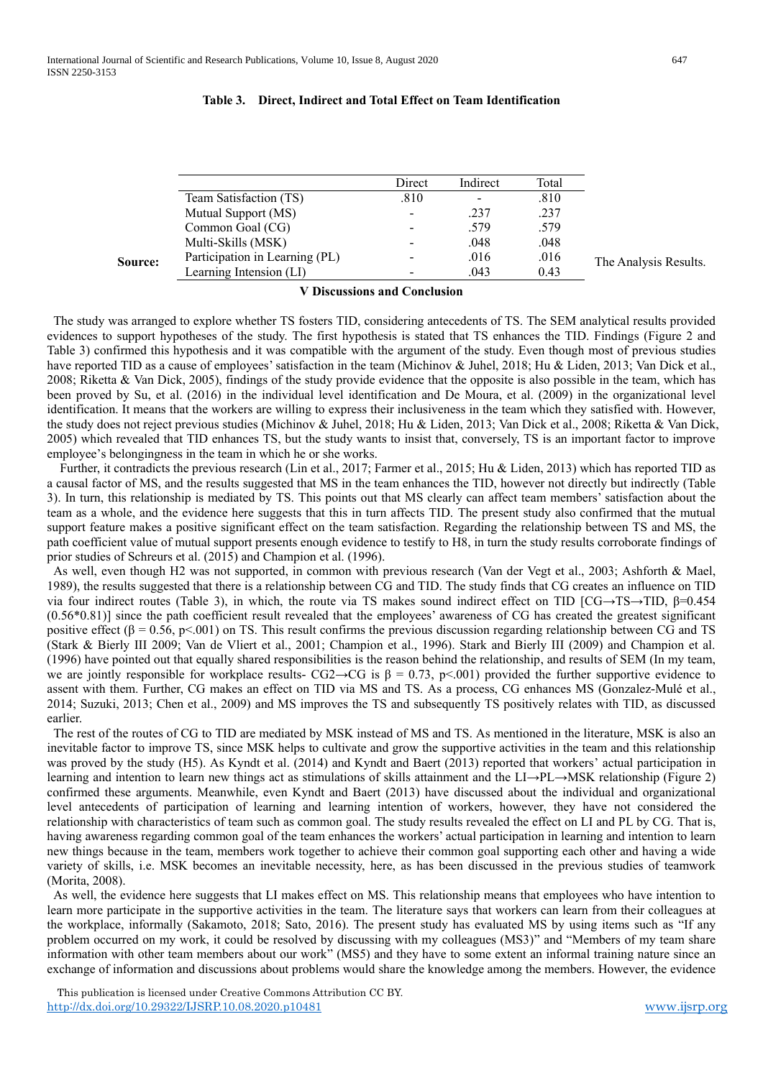# **Table 3. Direct, Indirect and Total Effect on Team Identification**

|         |                                | Direct                   | Indirect | Total |                       |
|---------|--------------------------------|--------------------------|----------|-------|-----------------------|
|         | Team Satisfaction (TS)         | .810                     |          | .810  |                       |
|         | Mutual Support (MS)            | $\sim$                   | .237     | .237  |                       |
|         | Common Goal (CG)               | $\overline{\phantom{m}}$ | .579     | .579  |                       |
|         | Multi-Skills (MSK)             | -                        | .048     | .048  |                       |
| Source: | Participation in Learning (PL) | $\overline{\phantom{0}}$ | .016     | .016  | The Analysis Results. |
|         | Learning Intension (LI)        |                          | .043     | 0.43  |                       |
|         |                                |                          |          |       |                       |

**Ⅴ Discussions and Conclusion**

The study was arranged to explore whether TS fosters TID, considering antecedents of TS. The SEM analytical results provided evidences to support hypotheses of the study. The first hypothesis is stated that TS enhances the TID. Findings (Figure 2 and Table 3) confirmed this hypothesis and it was compatible with the argument of the study. Even though most of previous studies have reported TID as a cause of employees' satisfaction in the team (Michinov & Juhel, 2018; Hu & Liden, 2013; Van Dick et al., 2008; Riketta & Van Dick, 2005), findings of the study provide evidence that the opposite is also possible in the team, which has been proved by Su, et al. (2016) in the individual level identification and De Moura, et al. (2009) in the organizational level identification. It means that the workers are willing to express their inclusiveness in the team which they satisfied with. However, the study does not reject previous studies (Michinov & Juhel, 2018; Hu & Liden, 2013; Van Dick et al., 2008; Riketta & Van Dick, 2005) which revealed that TID enhances TS, but the study wants to insist that, conversely, TS is an important factor to improve employee's belongingness in the team in which he or she works.

Further, it contradicts the previous research (Lin et al., 2017; Farmer et al., 2015; Hu & Liden, 2013) which has reported TID as a causal factor of MS, and the results suggested that MS in the team enhances the TID, however not directly but indirectly (Table 3). In turn, this relationship is mediated by TS. This points out that MS clearly can affect team members' satisfaction about the team as a whole, and the evidence here suggests that this in turn affects TID. The present study also confirmed that the mutual support feature makes a positive significant effect on the team satisfaction. Regarding the relationship between TS and MS, the path coefficient value of mutual support presents enough evidence to testify to H8, in turn the study results corroborate findings of prior studies of Schreurs et al. (2015) and Champion et al. (1996).

As well, even though H2 was not supported, in common with previous research (Van der Vegt et al., 2003; Ashforth & Mael, 1989), the results suggested that there is a relationship between CG and TID. The study finds that CG creates an influence on TID via four indirect routes (Table 3), in which, the route via TS makes sound indirect effect on TID [CG→TS→TID, β=0.454 (0.56\*0.81)] since the path coefficient result revealed that the employees' awareness of CG has created the greatest significant positive effect ( $\beta = 0.56$ , p<.001) on TS. This result confirms the previous discussion regarding relationship between CG and TS (Stark & Bierly III 2009; Van de Vliert et al., 2001; Champion et al., 1996). Stark and Bierly III (2009) and Champion et al. (1996) have pointed out that equally shared responsibilities is the reason behind the relationship, and results of SEM (In my team, we are jointly responsible for workplace results- CG2→CG is  $\beta = 0.73$ , p<001) provided the further supportive evidence to assent with them. Further, CG makes an effect on TID via MS and TS. As a process, CG enhances MS (Gonzalez-Mulé et al., 2014; Suzuki, 2013; Chen et al., 2009) and MS improves the TS and subsequently TS positively relates with TID, as discussed earlier.

The rest of the routes of CG to TID are mediated by MSK instead of MS and TS. As mentioned in the literature, MSK is also an inevitable factor to improve TS, since MSK helps to cultivate and grow the supportive activities in the team and this relationship was proved by the study (H5). As Kyndt et al. (2014) and Kyndt and Baert (2013) reported that workers' actual participation in learning and intention to learn new things act as stimulations of skills attainment and the LI→PL→MSK relationship (Figure 2) confirmed these arguments. Meanwhile, even Kyndt and Baert (2013) have discussed about the individual and organizational level antecedents of participation of learning and learning intention of workers, however, they have not considered the relationship with characteristics of team such as common goal. The study results revealed the effect on LI and PL by CG. That is, having awareness regarding common goal of the team enhances the workers' actual participation in learning and intention to learn new things because in the team, members work together to achieve their common goal supporting each other and having a wide variety of skills, i.e. MSK becomes an inevitable necessity, here, as has been discussed in the previous studies of teamwork (Morita, 2008).

As well, the evidence here suggests that LI makes effect on MS. This relationship means that employees who have intention to learn more participate in the supportive activities in the team. The literature says that workers can learn from their colleagues at the workplace, informally (Sakamoto, 2018; Sato, 2016). The present study has evaluated MS by using items such as "If any problem occurred on my work, it could be resolved by discussing with my colleagues (MS3)" and "Members of my team share information with other team members about our work" (MS5) and they have to some extent an informal training nature since an exchange of information and discussions about problems would share the knowledge among the members. However, the evidence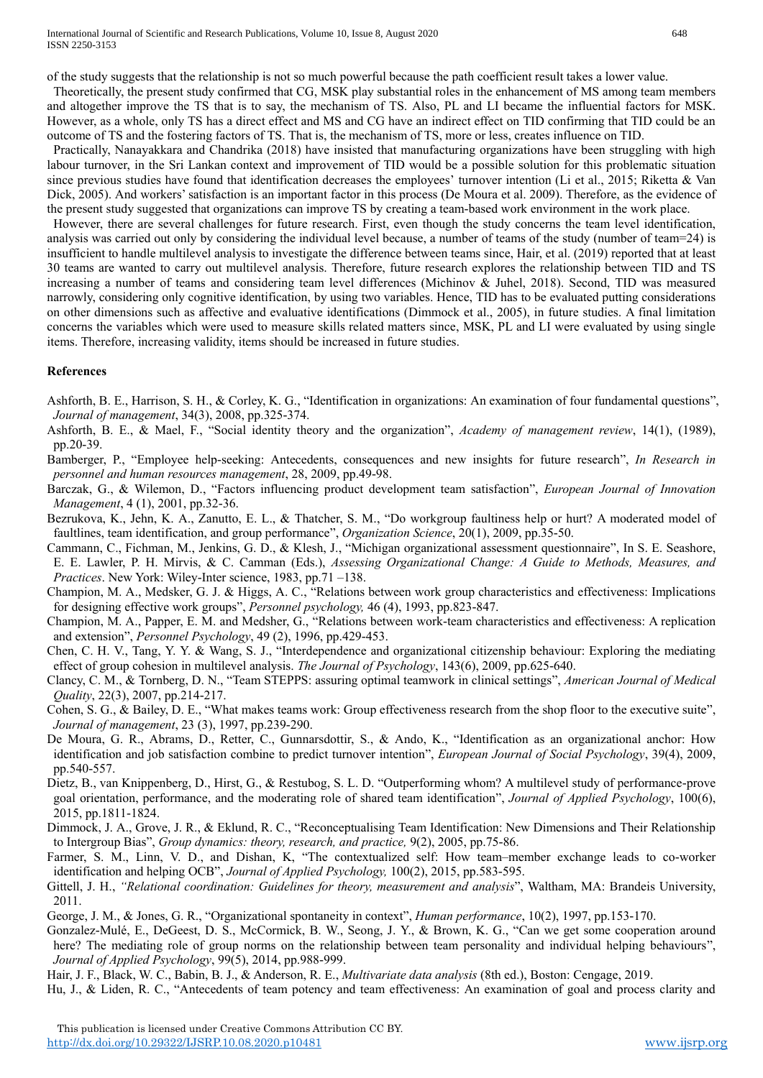of the study suggests that the relationship is not so much powerful because the path coefficient result takes a lower value.

Theoretically, the present study confirmed that CG, MSK play substantial roles in the enhancement of MS among team members and altogether improve the TS that is to say, the mechanism of TS. Also, PL and LI became the influential factors for MSK. However, as a whole, only TS has a direct effect and MS and CG have an indirect effect on TID confirming that TID could be an outcome of TS and the fostering factors of TS. That is, the mechanism of TS, more or less, creates influence on TID.

Practically, Nanayakkara and Chandrika (2018) have insisted that manufacturing organizations have been struggling with high labour turnover, in the Sri Lankan context and improvement of TID would be a possible solution for this problematic situation since previous studies have found that identification decreases the employees' turnover intention (Li et al., 2015; Riketta & Van Dick, 2005). And workers' satisfaction is an important factor in this process (De Moura et al. 2009). Therefore, as the evidence of the present study suggested that organizations can improve TS by creating a team-based work environment in the work place.

However, there are several challenges for future research. First, even though the study concerns the team level identification, analysis was carried out only by considering the individual level because, a number of teams of the study (number of team=24) is insufficient to handle multilevel analysis to investigate the difference between teams since, Hair, et al. (2019) reported that at least 30 teams are wanted to carry out multilevel analysis. Therefore, future research explores the relationship between TID and TS increasing a number of teams and considering team level differences (Michinov & Juhel, 2018). Second, TID was measured narrowly, considering only cognitive identification, by using two variables. Hence, TID has to be evaluated putting considerations on other dimensions such as affective and evaluative identifications (Dimmock et al., 2005), in future studies. A final limitation concerns the variables which were used to measure skills related matters since, MSK, PL and LI were evaluated by using single items. Therefore, increasing validity, items should be increased in future studies.

# **References**

Ashforth, B. E., Harrison, S. H., & Corley, K. G., "Identification in organizations: An examination of four fundamental questions", *Journal of management*, 34(3), 2008, pp.325-374.

- Ashforth, B. E., & Mael, F., "Social identity theory and the organization", *Academy of management review*, 14(1), (1989), pp.20-39.
- Bamberger, P., "Employee help-seeking: Antecedents, consequences and new insights for future research", *In Research in personnel and human resources management*, 28, 2009, pp.49-98.
- Barczak, G., & Wilemon, D., "Factors influencing product development team satisfaction", *European Journal of Innovation Management*, 4 (1), 2001, pp.32-36.
- Bezrukova, K., Jehn, K. A., Zanutto, E. L., & Thatcher, S. M., "Do workgroup faultiness help or hurt? A moderated model of faultlines, team identification, and group performance", *Organization Science*, 20(1), 2009, pp.35-50.
- Cammann, C., Fichman, M., Jenkins, G. D., & Klesh, J., "Michigan organizational assessment questionnaire", In S. E. Seashore, E. E. Lawler, P. H. Mirvis, & C. Camman (Eds.), *Assessing Organizational Change: A Guide to Methods, Measures, and Practices*. New York: Wiley-Inter science, 1983, pp.71 –138.
- Champion, M. A., Medsker, G. J. & Higgs, A. C., "Relations between work group characteristics and effectiveness: Implications for designing effective work groups", *Personnel psychology,* 46 (4), 1993, pp.823-847.
- Champion, M. A., Papper, E. M. and Medsher, G., "Relations between work-team characteristics and effectiveness: A replication and extension", *Personnel Psychology*, 49 (2), 1996, pp.429-453.
- Chen, C. H. V., Tang, Y. Y. & Wang, S. J., "Interdependence and organizational citizenship behaviour: Exploring the mediating effect of group cohesion in multilevel analysis. *The Journal of Psychology*, 143(6), 2009, pp.625-640.
- Clancy, C. M., & Tornberg, D. N., "Team STEPPS: assuring optimal teamwork in clinical settings", *American Journal of Medical Quality*, 22(3), 2007, pp.214-217.
- Cohen, S. G., & Bailey, D. E., "What makes teams work: Group effectiveness research from the shop floor to the executive suite", *Journal of management*, 23 (3), 1997, pp.239-290.
- De Moura, G. R., Abrams, D., Retter, C., Gunnarsdottir, S., & Ando, K., "Identification as an organizational anchor: How identification and job satisfaction combine to predict turnover intention", *European Journal of Social Psychology*, 39(4), 2009, pp.540-557.
- Dietz, B., van Knippenberg, D., Hirst, G., & Restubog, S. L. D. "Outperforming whom? A multilevel study of performance-prove goal orientation, performance, and the moderating role of shared team identification", *Journal of Applied Psychology*, 100(6), 2015, pp.1811-1824.
- Dimmock, J. A., Grove, J. R., & Eklund, R. C., "Reconceptualising Team Identification: New Dimensions and Their Relationship to Intergroup Bias", *Group dynamics: theory, research, and practice,* 9(2), 2005, pp.75-86.
- Farmer, S. M., Linn, V. D., and Dishan, K, "The contextualized self: How team–member exchange leads to co-worker identification and helping OCB", *Journal of Applied Psychology,* 100(2), 2015, pp.583-595.
- Gittell, J. H., *"Relational coordination: Guidelines for theory, measurement and analysis*", Waltham, MA: Brandeis University, 2011.
- George, J. M., & Jones, G. R., "Organizational spontaneity in context", *Human performance*, 10(2), 1997, pp.153-170.
- Gonzalez-Mulé, E., DeGeest, D. S., McCormick, B. W., Seong, J. Y., & Brown, K. G., "Can we get some cooperation around here? The mediating role of group norms on the relationship between team personality and individual helping behaviours", *Journal of Applied Psychology*, 99(5), 2014, pp.988-999.

Hair, J. F., Black, W. C., Babin, B. J., & Anderson, R. E., *Multivariate data analysis* (8th ed.), Boston: Cengage, 2019.

Hu, J., & Liden, R. C., "Antecedents of team potency and team effectiveness: An examination of goal and process clarity and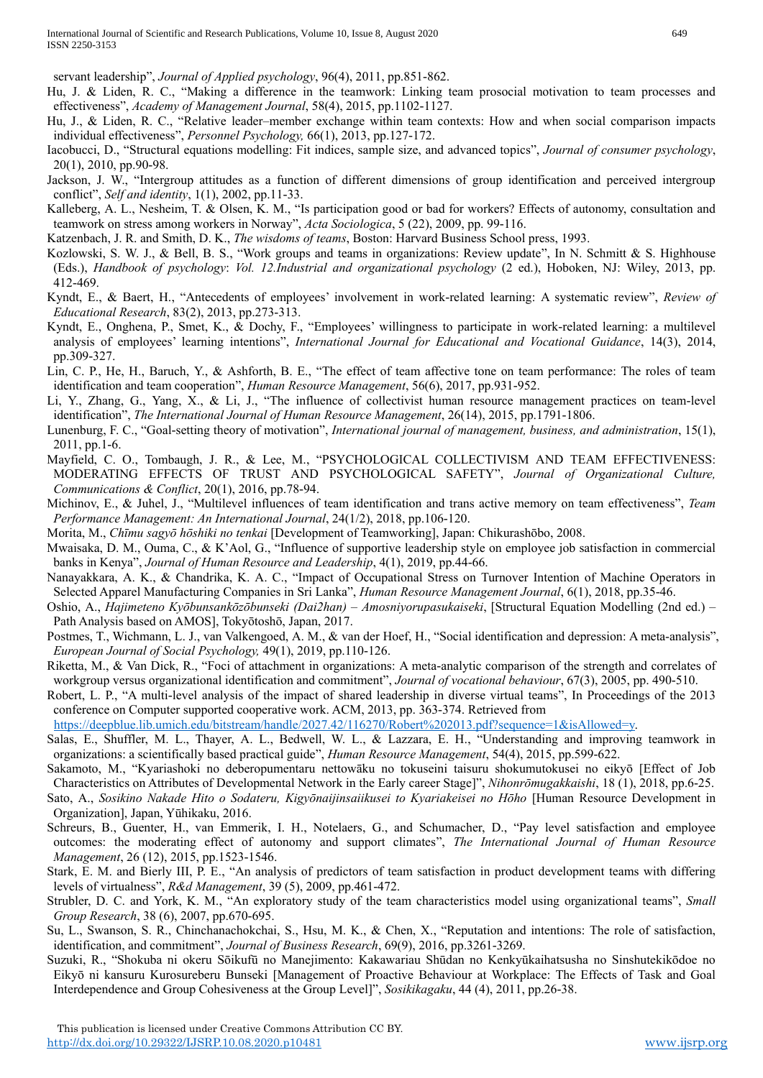servant leadership", *Journal of Applied psychology*, 96(4), 2011, pp.851-862.

- Hu, J. & Liden, R. C., "Making a difference in the teamwork: Linking team prosocial motivation to team processes and effectiveness", *Academy of Management Journal*, 58(4), 2015, pp.1102-1127.
- Hu, J., & Liden, R. C., "Relative leader–member exchange within team contexts: How and when social comparison impacts individual effectiveness", *Personnel Psychology,* 66(1), 2013, pp.127-172.
- Iacobucci, D., "Structural equations modelling: Fit indices, sample size, and advanced topics", *Journal of consumer psychology*, 20(1), 2010, pp.90-98.
- Jackson, J. W., "Intergroup attitudes as a function of different dimensions of group identification and perceived intergroup conflict", *Self and identity*, 1(1), 2002, pp.11-33.
- Kalleberg, A. L., Nesheim, T. & Olsen, K. M., "Is participation good or bad for workers? Effects of autonomy, consultation and teamwork on stress among workers in Norway", *Acta Sociologica*, 5 (22), 2009, pp. 99-116.

Katzenbach, J. R. and Smith, D. K., *The wisdoms of teams*, Boston: Harvard Business School press, 1993.

- Kozlowski, S. W. J., & Bell, B. S., "Work groups and teams in organizations: Review update", In N. Schmitt & S. Highhouse (Eds.), *Handbook of psychology*: *Vol. 12.Industrial and organizational psychology* (2 ed.), Hoboken, NJ: Wiley, 2013, pp. 412-469.
- Kyndt, E., & Baert, H., "Antecedents of employees' involvement in work-related learning: A systematic review", *Review of Educational Research*, 83(2), 2013, pp.273-313.
- Kyndt, E., Onghena, P., Smet, K., & Dochy, F., "Employees' willingness to participate in work-related learning: a multilevel analysis of employees' learning intentions", *International Journal for Educational and Vocational Guidance*, 14(3), 2014, pp.309-327.
- Lin, C. P., He, H., Baruch, Y., & Ashforth, B. E., "The effect of team affective tone on team performance: The roles of team identification and team cooperation", *Human Resource Management*, 56(6), 2017, pp.931-952.
- Li, Y., Zhang, G., Yang, X., & Li, J., "The influence of collectivist human resource management practices on team-level identification", *The International Journal of Human Resource Management*, 26(14), 2015, pp.1791-1806.
- Lunenburg, F. C., "Goal-setting theory of motivation", *International journal of management, business, and administration*, 15(1), 2011, pp.1-6.
- Mayfield, C. O., Tombaugh, J. R., & Lee, M., "PSYCHOLOGICAL COLLECTIVISM AND TEAM EFFECTIVENESS: MODERATING EFFECTS OF TRUST AND PSYCHOLOGICAL SAFETY", *Journal of Organizational Culture, Communications & Conflict*, 20(1), 2016, pp.78-94.
- Michinov, E., & Juhel, J., "Multilevel influences of team identification and trans active memory on team effectiveness", *Team Performance Management: An International Journal*, 24(1/2), 2018, pp.106-120.
- Morita, M., *Chīmu sagyō hōshiki no tenkai* [Development of Teamworking], Japan: Chikurashōbo, 2008.
- Mwaisaka, D. M., Ouma, C., & K'Aol, G., "Influence of supportive leadership style on employee job satisfaction in commercial banks in Kenya", *Journal of Human Resource and Leadership*, 4(1), 2019, pp.44-66.
- Nanayakkara, A. K., & Chandrika, K. A. C., "Impact of Occupational Stress on Turnover Intention of Machine Operators in Selected Apparel Manufacturing Companies in Sri Lanka", *Human Resource Management Journal*, 6(1), 2018, pp.35-46.
- Oshio, A., *Hajimeteno Kyōbunsankōzōbunseki (Dai2han) – Amosniyorupasukaiseki*, [Structural Equation Modelling (2nd ed.) Path Analysis based on AMOS], Tokyōtoshō, Japan, 2017.
- Postmes, T., Wichmann, L. J., van Valkengoed, A. M., & van der Hoef, H., "Social identification and depression: A meta-analysis", *European Journal of Social Psychology,* 49(1), 2019, pp.110-126.
- Riketta, M., & Van Dick, R., "Foci of attachment in organizations: A meta-analytic comparison of the strength and correlates of workgroup versus organizational identification and commitment", *Journal of vocational behaviour*, 67(3), 2005, pp. 490-510.
- Robert, L. P., "A multi-level analysis of the impact of shared leadership in diverse virtual teams", In Proceedings of the 2013 conference on Computer supported cooperative work. ACM, 2013, pp. 363-374. Retrieved from

[https://deepblue.lib.umich.edu/bitstream/handle/2027.42/116270/Robert%202013.pdf?sequence=1&isAllowed=y.](https://deepblue.lib.umich.edu/bitstream/handle/2027.42/116270/Robert%202013.pdf?sequence=1&isAllowed=y)

- Salas, E., Shuffler, M. L., Thayer, A. L., Bedwell, W. L., & Lazzara, E. H., "Understanding and improving teamwork in organizations: a scientifically based practical guide", *Human Resource Management*, 54(4), 2015, pp.599-622.
- Sakamoto, M., "Kyariashoki no deberopumentaru nettowāku no tokuseini taisuru shokumutokusei no eikyō [Effect of Job Characteristics on Attributes of Developmental Network in the Early career Stage]", *Nihonrōmugakkaishi*, 18 (1), 2018, pp.6-25.
- Sato, A., *Sosikino Nakade Hito o Sodateru, Kigyōnaijinsaiikusei to Kyariakeisei no Hōho* [Human Resource Development in Organization], Japan, Yūhikaku, 2016.
- Schreurs, B., Guenter, H., van Emmerik, I. H., Notelaers, G., and Schumacher, D., "Pay level satisfaction and employee outcomes: the moderating effect of autonomy and support climates", *The International Journal of Human Resource Management*, 26 (12), 2015, pp.1523-1546.
- Stark, E. M. and Bierly III, P. E., "An analysis of predictors of team satisfaction in product development teams with differing levels of virtualness", *R&d Management*, 39 (5), 2009, pp.461-472.
- Strubler, D. C. and York, K. M., "An exploratory study of the team characteristics model using organizational teams", *Small Group Research*, 38 (6), 2007, pp.670-695.
- Su, L., Swanson, S. R., Chinchanachokchai, S., Hsu, M. K., & Chen, X., "Reputation and intentions: The role of satisfaction, identification, and commitment", *Journal of Business Research*, 69(9), 2016, pp.3261-3269.
- Suzuki, R., "Shokuba ni okeru Sōikufū no Manejimento: Kakawariau Shūdan no Kenkyūkaihatsusha no Sinshutekikōdoe no Eikyō ni kansuru Kurosureberu Bunseki [Management of Proactive Behaviour at Workplace: The Effects of Task and Goal Interdependence and Group Cohesiveness at the Group Level]", *Sosikikagaku*, 44 (4), 2011, pp.26-38.